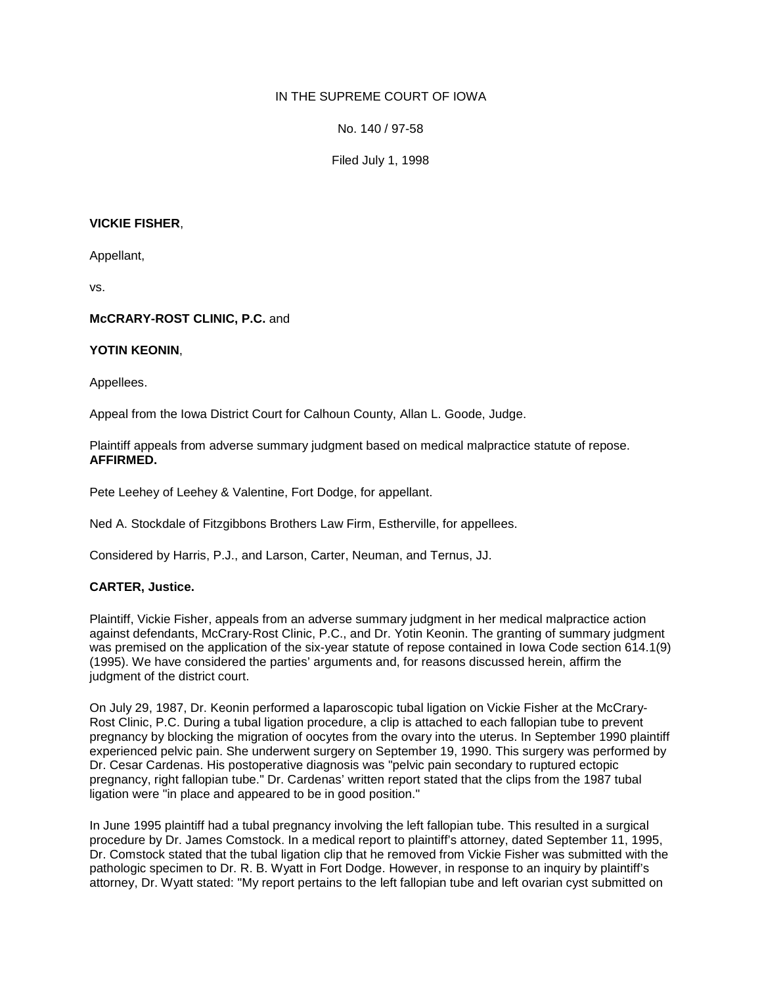# IN THE SUPREME COURT OF IOWA

No. 140 / 97-58

Filed July 1, 1998

### **VICKIE FISHER**,

Appellant,

vs.

### **McCRARY-ROST CLINIC, P.C.** and

#### **YOTIN KEONIN**,

Appellees.

Appeal from the Iowa District Court for Calhoun County, Allan L. Goode, Judge.

Plaintiff appeals from adverse summary judgment based on medical malpractice statute of repose. **AFFIRMED.**

Pete Leehey of Leehey & Valentine, Fort Dodge, for appellant.

Ned A. Stockdale of Fitzgibbons Brothers Law Firm, Estherville, for appellees.

Considered by Harris, P.J., and Larson, Carter, Neuman, and Ternus, JJ.

# **CARTER, Justice.**

Plaintiff, Vickie Fisher, appeals from an adverse summary judgment in her medical malpractice action against defendants, McCrary-Rost Clinic, P.C., and Dr. Yotin Keonin. The granting of summary judgment was premised on the application of the six-year statute of repose contained in Iowa Code section 614.1(9) (1995). We have considered the parties' arguments and, for reasons discussed herein, affirm the judgment of the district court.

On July 29, 1987, Dr. Keonin performed a laparoscopic tubal ligation on Vickie Fisher at the McCrary-Rost Clinic, P.C. During a tubal ligation procedure, a clip is attached to each fallopian tube to prevent pregnancy by blocking the migration of oocytes from the ovary into the uterus. In September 1990 plaintiff experienced pelvic pain. She underwent surgery on September 19, 1990. This surgery was performed by Dr. Cesar Cardenas. His postoperative diagnosis was "pelvic pain secondary to ruptured ectopic pregnancy, right fallopian tube." Dr. Cardenas' written report stated that the clips from the 1987 tubal ligation were "in place and appeared to be in good position."

In June 1995 plaintiff had a tubal pregnancy involving the left fallopian tube. This resulted in a surgical procedure by Dr. James Comstock. In a medical report to plaintiff's attorney, dated September 11, 1995, Dr. Comstock stated that the tubal ligation clip that he removed from Vickie Fisher was submitted with the pathologic specimen to Dr. R. B. Wyatt in Fort Dodge. However, in response to an inquiry by plaintiff's attorney, Dr. Wyatt stated: "My report pertains to the left fallopian tube and left ovarian cyst submitted on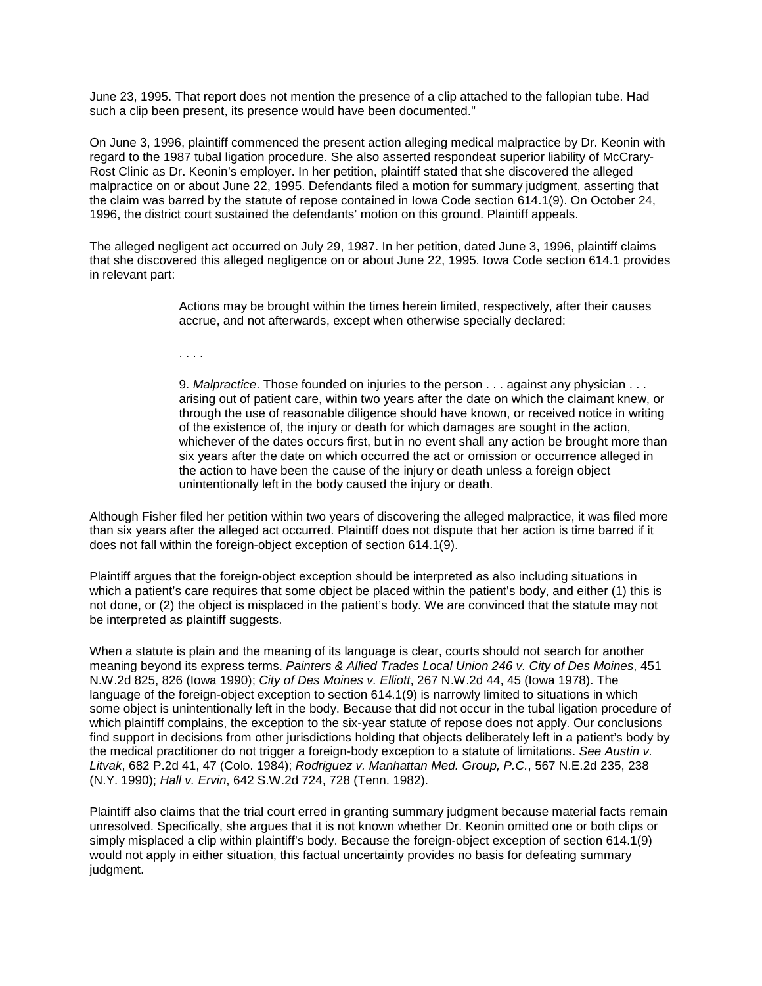June 23, 1995. That report does not mention the presence of a clip attached to the fallopian tube. Had such a clip been present, its presence would have been documented."

On June 3, 1996, plaintiff commenced the present action alleging medical malpractice by Dr. Keonin with regard to the 1987 tubal ligation procedure. She also asserted respondeat superior liability of McCrary-Rost Clinic as Dr. Keonin's employer. In her petition, plaintiff stated that she discovered the alleged malpractice on or about June 22, 1995. Defendants filed a motion for summary judgment, asserting that the claim was barred by the statute of repose contained in Iowa Code section 614.1(9). On October 24, 1996, the district court sustained the defendants' motion on this ground. Plaintiff appeals.

The alleged negligent act occurred on July 29, 1987. In her petition, dated June 3, 1996, plaintiff claims that she discovered this alleged negligence on or about June 22, 1995. Iowa Code section 614.1 provides in relevant part:

> Actions may be brought within the times herein limited, respectively, after their causes accrue, and not afterwards, except when otherwise specially declared:

. . . .

9. *Malpractice*. Those founded on injuries to the person . . . against any physician . . . arising out of patient care, within two years after the date on which the claimant knew, or through the use of reasonable diligence should have known, or received notice in writing of the existence of, the injury or death for which damages are sought in the action, whichever of the dates occurs first, but in no event shall any action be brought more than six years after the date on which occurred the act or omission or occurrence alleged in the action to have been the cause of the injury or death unless a foreign object unintentionally left in the body caused the injury or death.

Although Fisher filed her petition within two years of discovering the alleged malpractice, it was filed more than six years after the alleged act occurred. Plaintiff does not dispute that her action is time barred if it does not fall within the foreign-object exception of section 614.1(9).

Plaintiff argues that the foreign-object exception should be interpreted as also including situations in which a patient's care requires that some object be placed within the patient's body, and either (1) this is not done, or (2) the object is misplaced in the patient's body. We are convinced that the statute may not be interpreted as plaintiff suggests.

When a statute is plain and the meaning of its language is clear, courts should not search for another meaning beyond its express terms. *Painters & Allied Trades Local Union 246 v. City of Des Moines*, 451 N.W.2d 825, 826 (Iowa 1990); *City of Des Moines v. Elliott*, 267 N.W.2d 44, 45 (Iowa 1978). The language of the foreign-object exception to section 614.1(9) is narrowly limited to situations in which some object is unintentionally left in the body. Because that did not occur in the tubal ligation procedure of which plaintiff complains, the exception to the six-year statute of repose does not apply. Our conclusions find support in decisions from other jurisdictions holding that objects deliberately left in a patient's body by the medical practitioner do not trigger a foreign-body exception to a statute of limitations. *See Austin v. Litvak*, 682 P.2d 41, 47 (Colo. 1984); *Rodriguez v. Manhattan Med. Group, P.C.*, 567 N.E.2d 235, 238 (N.Y. 1990); *Hall v. Ervin*, 642 S.W.2d 724, 728 (Tenn. 1982).

Plaintiff also claims that the trial court erred in granting summary judgment because material facts remain unresolved. Specifically, she argues that it is not known whether Dr. Keonin omitted one or both clips or simply misplaced a clip within plaintiff's body. Because the foreign-object exception of section 614.1(9) would not apply in either situation, this factual uncertainty provides no basis for defeating summary judgment.